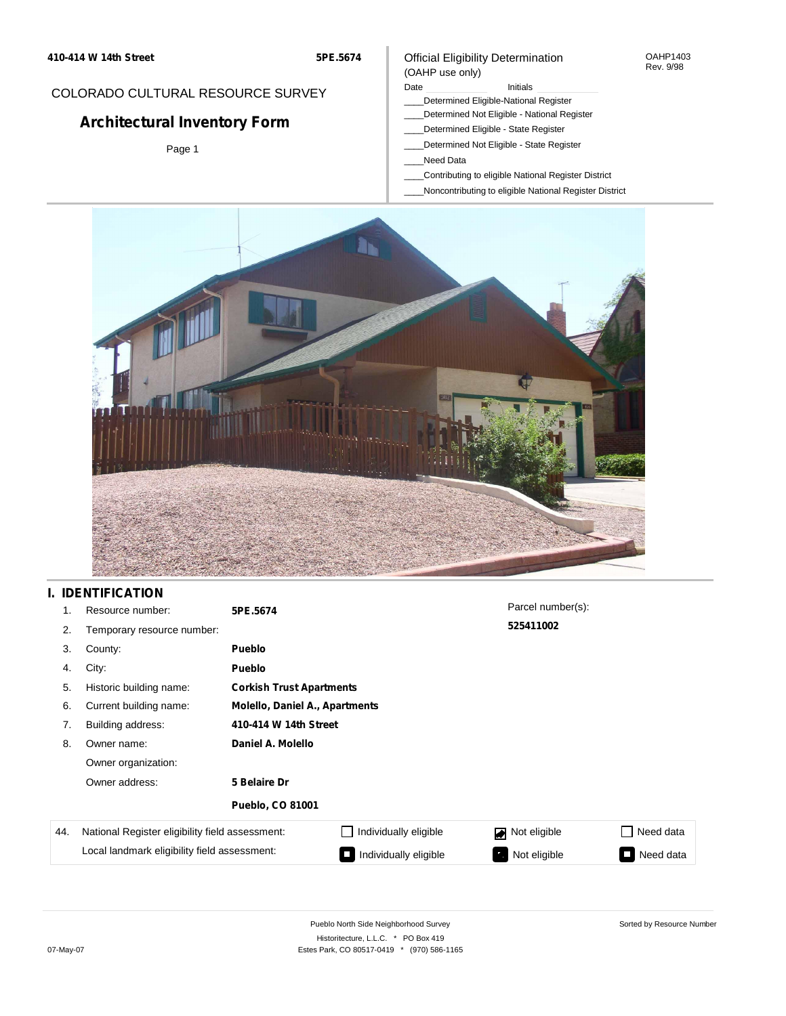**5PE.5674**

# COLORADO CULTURAL RESOURCE SURVEY

# **Architectural Inventory Form**

Page 1

### Official Eligibility Determination (OAHP use only)

### Date **Initials** Initials

- \_\_\_\_Determined Eligible-National Register
- \_\_\_\_Determined Not Eligible National Register
- \_\_\_\_Determined Eligible State Register
- \_\_\_\_Determined Not Eligible State Register
- \_\_\_\_Need Data
- \_\_\_\_Contributing to eligible National Register District
- \_\_\_\_Noncontributing to eligible National Register District



### **I. IDENTIFICATION**

| 1.  | Resource number:                                | 5PE.5674                |                                 | Parcel number(s): |           |  |  |
|-----|-------------------------------------------------|-------------------------|---------------------------------|-------------------|-----------|--|--|
| 2.  | Temporary resource number:                      |                         |                                 | 525411002         |           |  |  |
| 3.  | County:                                         | <b>Pueblo</b>           |                                 |                   |           |  |  |
| 4.  | City:                                           | <b>Pueblo</b>           |                                 |                   |           |  |  |
| 5.  | Historic building name:                         |                         | <b>Corkish Trust Apartments</b> |                   |           |  |  |
| 6.  | Current building name:                          |                         | Molello, Daniel A., Apartments  |                   |           |  |  |
| 7.  | Building address:                               | 410-414 W 14th Street   |                                 |                   |           |  |  |
| 8.  | Owner name:                                     | Daniel A. Molello       |                                 |                   |           |  |  |
|     | Owner organization:                             |                         |                                 |                   |           |  |  |
|     | Owner address:                                  | 5 Belaire Dr            |                                 |                   |           |  |  |
|     |                                                 | <b>Pueblo, CO 81001</b> |                                 |                   |           |  |  |
| 44. | National Register eligibility field assessment: |                         | Individually eligible           | Not eligible<br>◪ | Need data |  |  |
|     | Local landmark eligibility field assessment:    |                         | Individually eligible           | Not eligible      | Need data |  |  |

OAHP1403 Rev. 9/98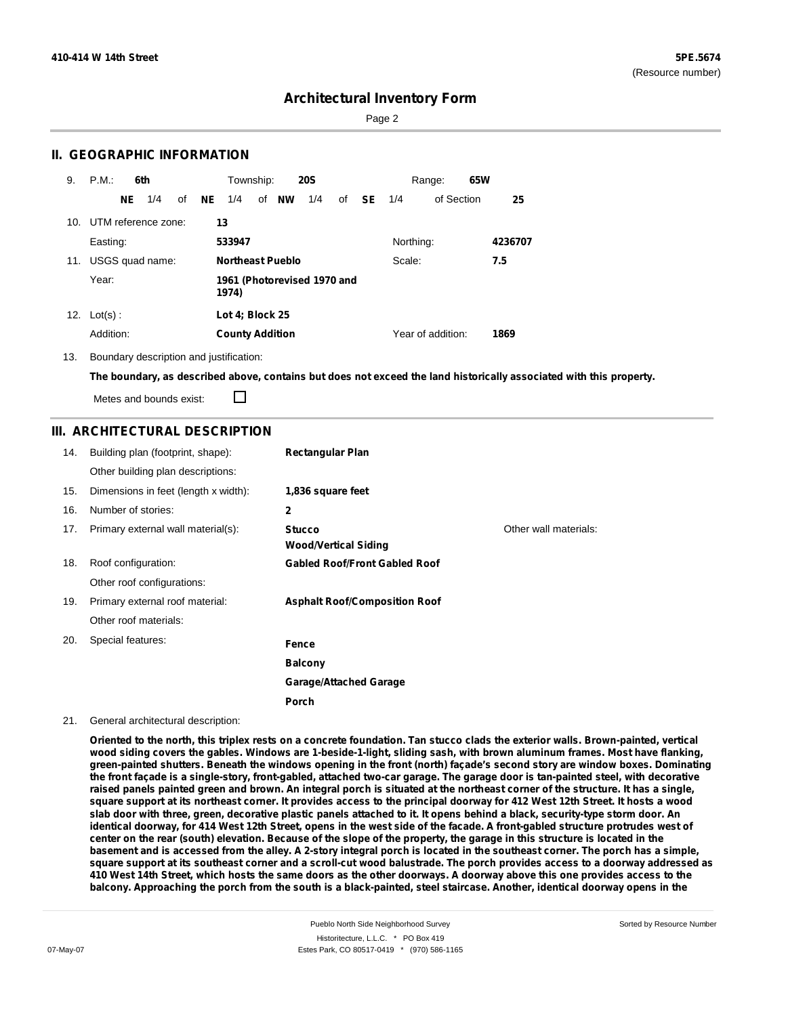Page 2

### **II. GEOGRAPHIC INFORMATION**

| 9.  | P.M.       |     | 6th                     |    |    | Township:              |                         | <b>20S</b>                  |    |      |           | Range:            | 65W |         |
|-----|------------|-----|-------------------------|----|----|------------------------|-------------------------|-----------------------------|----|------|-----------|-------------------|-----|---------|
|     |            | NE. | 1/4                     | of | NE | 1/4                    | of <b>NW</b>            | 1/4                         | of | - SE | 1/4       | of Section        |     | 25      |
|     |            |     | 10. UTM reference zone: |    |    | 13                     |                         |                             |    |      |           |                   |     |         |
|     | Easting:   |     |                         |    |    | 533947                 |                         |                             |    |      | Northing: |                   |     | 4236707 |
| 11. |            |     | USGS quad name:         |    |    |                        | <b>Northeast Pueblo</b> |                             |    |      | Scale:    |                   |     | 7.5     |
|     | Year:      |     |                         |    |    | 1974)                  |                         | 1961 (Photorevised 1970 and |    |      |           |                   |     |         |
| 12. | $Lot(s)$ : |     |                         |    |    | Lot 4; Block 25        |                         |                             |    |      |           |                   |     |         |
|     | Addition:  |     |                         |    |    | <b>County Addition</b> |                         |                             |    |      |           | Year of addition: |     | 1869    |

13. Boundary description and justification:

The boundary, as described above, contains but does not exceed the land historically associated with this property.

Metes and bounds exist:

П

### **III. ARCHITECTURAL DESCRIPTION**

| 14. | Building plan (footprint, shape):    | <b>Rectangular Plan</b>              |                       |
|-----|--------------------------------------|--------------------------------------|-----------------------|
|     | Other building plan descriptions:    |                                      |                       |
| 15. | Dimensions in feet (length x width): | 1,836 square feet                    |                       |
| 16. | Number of stories:                   | $\mathbf{2}$                         |                       |
| 17. | Primary external wall material(s):   | <b>Stucco</b>                        | Other wall materials: |
|     |                                      | <b>Wood/Vertical Siding</b>          |                       |
| 18. | Roof configuration:                  | <b>Gabled Roof/Front Gabled Roof</b> |                       |
|     | Other roof configurations:           |                                      |                       |
| 19. | Primary external roof material:      | <b>Asphalt Roof/Composition Roof</b> |                       |
|     | Other roof materials:                |                                      |                       |
| 20. | Special features:                    | Fence                                |                       |
|     |                                      | <b>Balcony</b>                       |                       |
|     |                                      | <b>Garage/Attached Garage</b>        |                       |
|     |                                      | Porch                                |                       |

#### 21. General architectural description:

Oriented to the north, this triplex rests on a concrete foundation. Tan stucco clads the exterior walls. Brown-painted, vertical wood siding covers the gables. Windows are 1-beside-1-light, sliding sash, with brown aluminum frames. Most have flanking, green-painted shutters. Beneath the windows opening in the front (north) façade's second story are window boxes. Dominating the front façade is a single-story, front-gabled, attached two-car garage. The garage door is tan-painted steel, with decorative raised panels painted green and brown. An integral porch is situated at the northeast corner of the structure. It has a single, square support at its northeast corner. It provides access to the principal doorway for 412 West 12th Street. It hosts a wood slab door with three, green, decorative plastic panels attached to it. It opens behind a black, security-type storm door. An identical doorway, for 414 West 12th Street, opens in the west side of the facade. A front-gabled structure protrudes west of center on the rear (south) elevation. Because of the slope of the property, the garage in this structure is located in the basement and is accessed from the alley. A 2-story integral porch is located in the southeast corner. The porch has a simple, square support at its southeast corner and a scroll-cut wood balustrade. The porch provides access to a doorway addressed as 410 West 14th Street, which hosts the same doors as the other doorways. A doorway above this one provides access to the balcony. Approaching the porch from the south is a black-painted, steel staircase. Another, identical doorway opens in the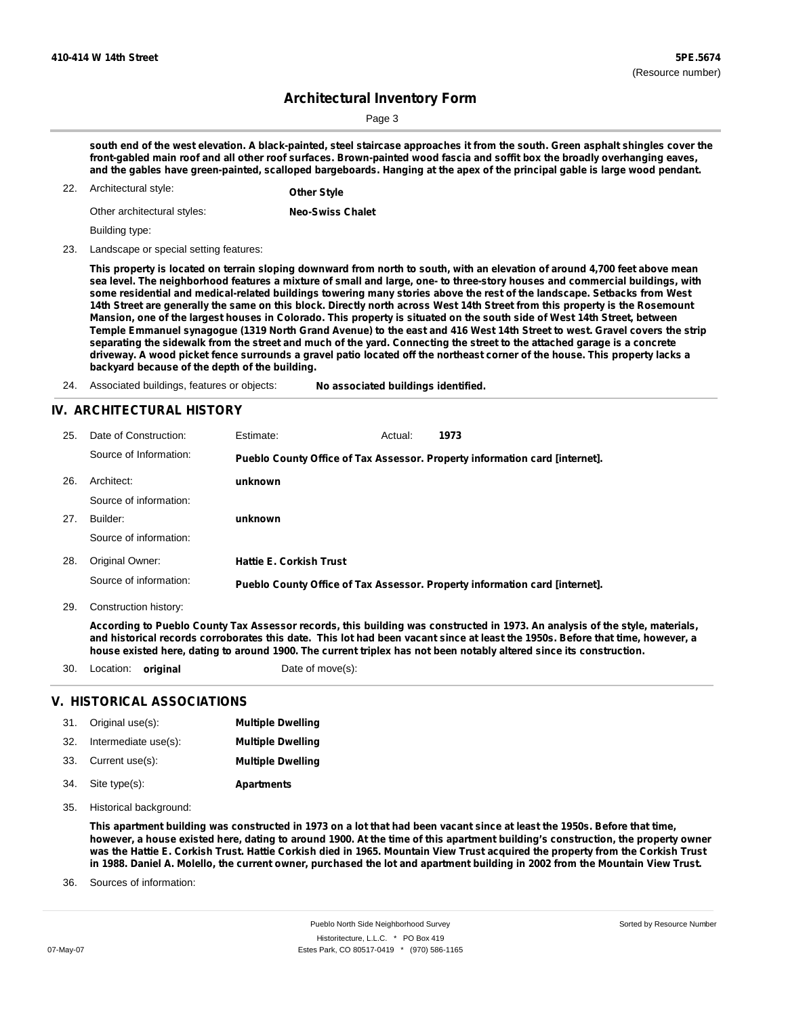Page 3

south end of the west elevation. A black-painted, steel staircase approaches it from the south. Green asphalt shingles cover the front-gabled main roof and all other roof surfaces. Brown-painted wood fascia and soffit box the broadly overhanging eaves, and the gables have green-painted, scalloped bargeboards. Hanging at the apex of the principal gable is large wood pendant.

Architectural style: 22. **Other Style**

| Other architectural styles: | <b>Neo-Swiss Chalet</b> |
|-----------------------------|-------------------------|
|                             |                         |

Building type:

23. Landscape or special setting features:

This property is located on terrain sloping downward from north to south, with an elevation of around 4,700 feet above mean sea level. The neighborhood features a mixture of small and large, one- to three-story houses and commercial buildings, with some residential and medical-related buildings towering many stories above the rest of the landscape. Setbacks from West 14th Street are generally the same on this block. Directly north across West 14th Street from this property is the Rosemount Mansion, one of the largest houses in Colorado. This property is situated on the south side of West 14th Street, between Temple Emmanuel synagogue (1319 North Grand Avenue) to the east and 416 West 14th Street to west. Gravel covers the strip separating the sidewalk from the street and much of the yard. Connecting the street to the attached garage is a concrete driveway. A wood picket fence surrounds a gravel patio located off the northeast corner of the house. This property lacks a **backyard because of the depth of the building.**

24. Associated buildings, features or objects: **No associated buildings identified.**

### **IV. ARCHITECTURAL HISTORY**

| 25. | Date of Construction:  | Estimate:                      | Actual: | 1973                                                                        |
|-----|------------------------|--------------------------------|---------|-----------------------------------------------------------------------------|
|     | Source of Information: |                                |         | Pueblo County Office of Tax Assessor. Property information card [internet]. |
| 26. | Architect:             | unknown                        |         |                                                                             |
|     | Source of information: |                                |         |                                                                             |
| 27. | Builder:               | unknown                        |         |                                                                             |
|     | Source of information: |                                |         |                                                                             |
| 28. | Original Owner:        | <b>Hattie E. Corkish Trust</b> |         |                                                                             |
|     | Source of information: |                                |         | Pueblo County Office of Tax Assessor. Property information card [internet]. |

29. Construction history:

According to Pueblo County Tax Assessor records, this building was constructed in 1973. An analysis of the style, materials, and historical records corroborates this date. This lot had been vacant since at least the 1950s. Before that time, however, a house existed here, dating to around 1900. The current triplex has not been notably altered since its construction.

30. Location: **original** Date of move(s):

#### **V. HISTORICAL ASSOCIATIONS**

| 31. Original use(s):     | <b>Multiple Dwelling</b> |
|--------------------------|--------------------------|
| 32. Intermediate use(s): | <b>Multiple Dwelling</b> |
| 33. Current use(s):      | <b>Multiple Dwelling</b> |
| 34. Site type(s):        | <b>Apartments</b>        |

35. Historical background:

This apartment building was constructed in 1973 on a lot that had been vacant since at least the 1950s. Before that time, however, a house existed here, dating to around 1900. At the time of this apartment building's construction, the property owner was the Hattie E. Corkish Trust. Hattie Corkish died in 1965. Mountain View Trust acquired the property from the Corkish Trust in 1988. Daniel A. Molello, the current owner, purchased the lot and apartment building in 2002 from the Mountain View Trust.

Sources of information: 36.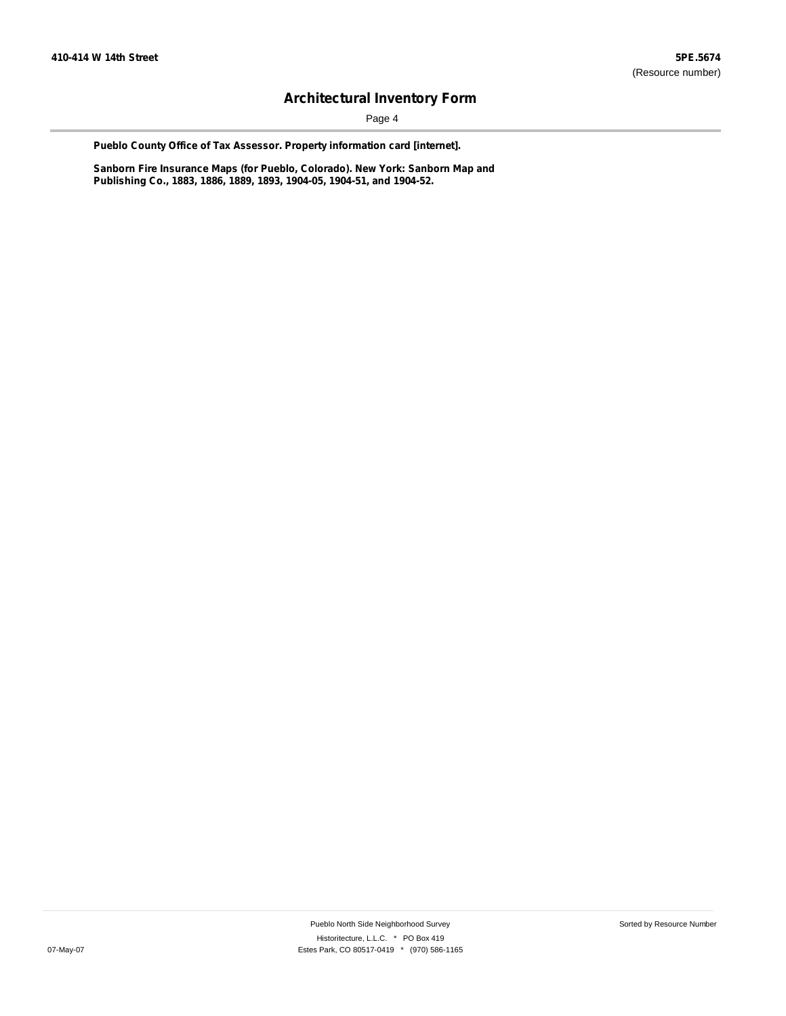Page 4

**Pueblo County Office of Tax Assessor. Property information card [internet].**

**Sanborn Fire Insurance Maps (for Pueblo, Colorado). New York: Sanborn Map and Publishing Co., 1883, 1886, 1889, 1893, 1904-05, 1904-51, and 1904-52.**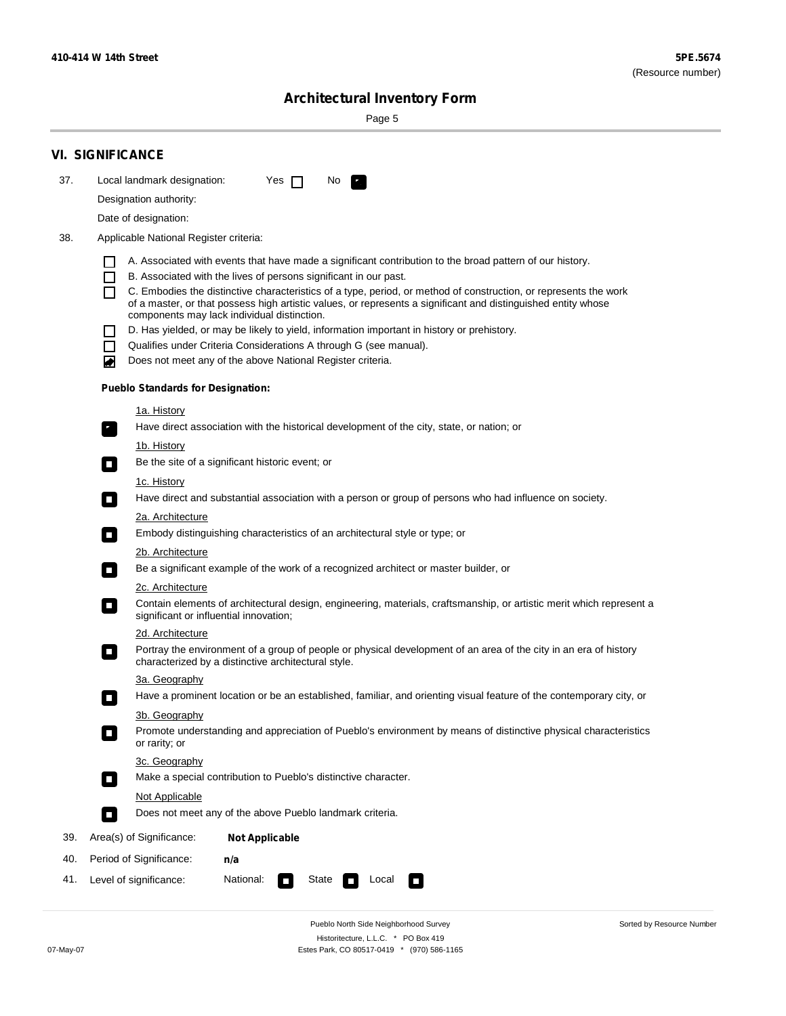÷

Sorted by Resource Number

# **Architectural Inventory Form**

Page 5

|     | <b>VI. SIGNIFICANCE</b>                                                                                                                                                                                                                                                                                                                                                                                                                                                                                                                                                                                                                                                                                           |
|-----|-------------------------------------------------------------------------------------------------------------------------------------------------------------------------------------------------------------------------------------------------------------------------------------------------------------------------------------------------------------------------------------------------------------------------------------------------------------------------------------------------------------------------------------------------------------------------------------------------------------------------------------------------------------------------------------------------------------------|
| 37. | Local landmark designation:<br>Yes $\Box$<br>No<br>$\mathbb{Z}_+$                                                                                                                                                                                                                                                                                                                                                                                                                                                                                                                                                                                                                                                 |
|     | Designation authority:                                                                                                                                                                                                                                                                                                                                                                                                                                                                                                                                                                                                                                                                                            |
|     | Date of designation:                                                                                                                                                                                                                                                                                                                                                                                                                                                                                                                                                                                                                                                                                              |
| 38. | Applicable National Register criteria:                                                                                                                                                                                                                                                                                                                                                                                                                                                                                                                                                                                                                                                                            |
|     | A. Associated with events that have made a significant contribution to the broad pattern of our history.<br>B. Associated with the lives of persons significant in our past.<br>C. Embodies the distinctive characteristics of a type, period, or method of construction, or represents the work<br>ΙI<br>of a master, or that possess high artistic values, or represents a significant and distinguished entity whose<br>components may lack individual distinction.<br>D. Has yielded, or may be likely to yield, information important in history or prehistory.<br>Qualifies under Criteria Considerations A through G (see manual).<br>H<br>Does not meet any of the above National Register criteria.<br>₩ |
|     | <b>Pueblo Standards for Designation:</b>                                                                                                                                                                                                                                                                                                                                                                                                                                                                                                                                                                                                                                                                          |
|     | 1a. History<br>Have direct association with the historical development of the city, state, or nation; or<br>$\mathbf{r}_\perp$                                                                                                                                                                                                                                                                                                                                                                                                                                                                                                                                                                                    |
|     | <u>1b. History</u><br>Be the site of a significant historic event; or<br>$\Box$                                                                                                                                                                                                                                                                                                                                                                                                                                                                                                                                                                                                                                   |
|     | 1c. History<br>Have direct and substantial association with a person or group of persons who had influence on society.<br>О                                                                                                                                                                                                                                                                                                                                                                                                                                                                                                                                                                                       |
|     | 2a. Architecture<br>Embody distinguishing characteristics of an architectural style or type; or<br>$\overline{\phantom{a}}$                                                                                                                                                                                                                                                                                                                                                                                                                                                                                                                                                                                       |
|     | 2b. Architecture                                                                                                                                                                                                                                                                                                                                                                                                                                                                                                                                                                                                                                                                                                  |
|     | Be a significant example of the work of a recognized architect or master builder, or<br>$\Box$                                                                                                                                                                                                                                                                                                                                                                                                                                                                                                                                                                                                                    |
|     | 2c. Architecture                                                                                                                                                                                                                                                                                                                                                                                                                                                                                                                                                                                                                                                                                                  |
|     | Contain elements of architectural design, engineering, materials, craftsmanship, or artistic merit which represent a<br>О<br>significant or influential innovation;                                                                                                                                                                                                                                                                                                                                                                                                                                                                                                                                               |
|     | 2d. Architecture                                                                                                                                                                                                                                                                                                                                                                                                                                                                                                                                                                                                                                                                                                  |
|     | Portray the environment of a group of people or physical development of an area of the city in an era of history<br>$\Box$<br>characterized by a distinctive architectural style.                                                                                                                                                                                                                                                                                                                                                                                                                                                                                                                                 |
|     | 3a. Geography                                                                                                                                                                                                                                                                                                                                                                                                                                                                                                                                                                                                                                                                                                     |
|     | Have a prominent location or be an established, familiar, and orienting visual feature of the contemporary city, or<br>п                                                                                                                                                                                                                                                                                                                                                                                                                                                                                                                                                                                          |
|     | 3b. Geography<br>Promote understanding and appreciation of Pueblo's environment by means of distinctive physical characteristics<br>П<br>or rarity; or                                                                                                                                                                                                                                                                                                                                                                                                                                                                                                                                                            |
|     | 3c. Geography<br>Make a special contribution to Pueblo's distinctive character.<br>$\Box$                                                                                                                                                                                                                                                                                                                                                                                                                                                                                                                                                                                                                         |
|     | Not Applicable                                                                                                                                                                                                                                                                                                                                                                                                                                                                                                                                                                                                                                                                                                    |
|     | Does not meet any of the above Pueblo landmark criteria.<br>$\Box$                                                                                                                                                                                                                                                                                                                                                                                                                                                                                                                                                                                                                                                |
| 39. | Area(s) of Significance:<br><b>Not Applicable</b>                                                                                                                                                                                                                                                                                                                                                                                                                                                                                                                                                                                                                                                                 |
| 40. | Period of Significance:<br>n/a                                                                                                                                                                                                                                                                                                                                                                                                                                                                                                                                                                                                                                                                                    |
| 41. | National:<br>State<br>Local<br>Level of significance:<br>$\sim$<br>$\Box$<br><b>The Second Second</b>                                                                                                                                                                                                                                                                                                                                                                                                                                                                                                                                                                                                             |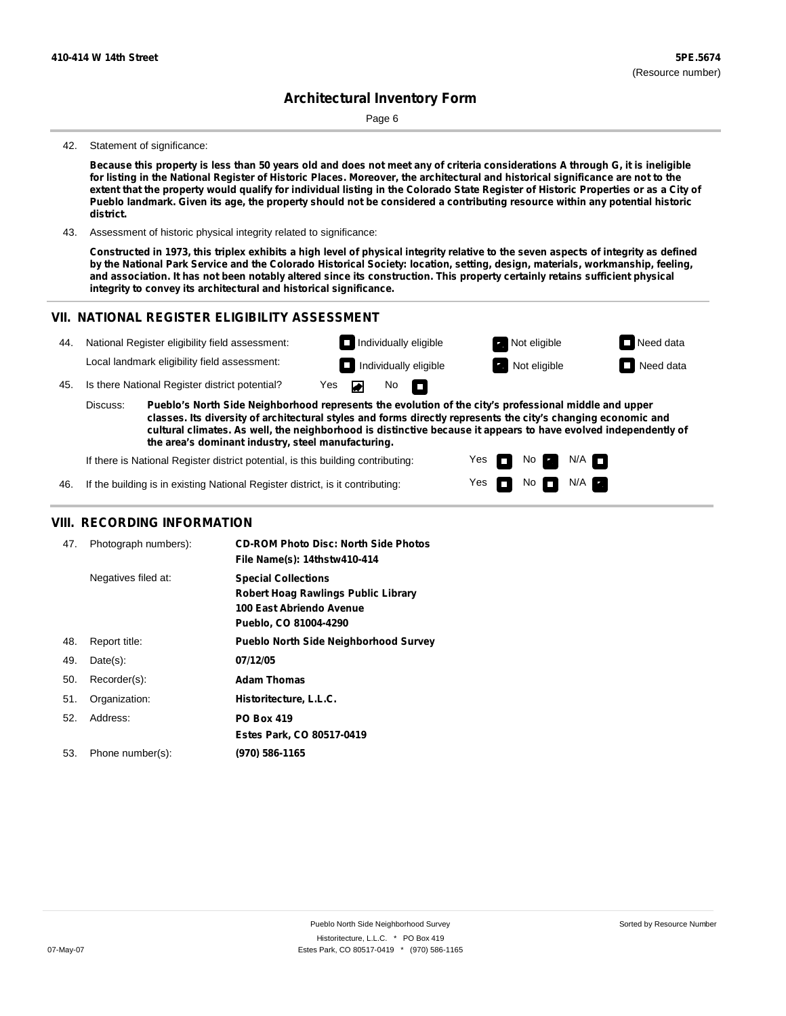Page 6

#### 42. Statement of significance:

Because this property is less than 50 years old and does not meet any of criteria considerations A through G, it is ineligible for listing in the National Register of Historic Places. Moreover, the architectural and historical significance are not to the extent that the property would qualify for individual listing in the Colorado State Register of Historic Properties or as a City of Pueblo landmark. Given its age, the property should not be considered a contributing resource within any potential historic **district.**

43. Assessment of historic physical integrity related to significance:

Constructed in 1973, this triplex exhibits a high level of physical integrity relative to the seven aspects of integrity as defined by the National Park Service and the Colorado Historical Society: location, setting, design, materials, workmanship, feeling, and association. It has not been notably altered since its construction. This property certainly retains sufficient physical **integrity to convey its architectural and historical significance.**

#### **VII. NATIONAL REGISTER ELIGIBILITY ASSESSMENT**



Yes Yes

П

No

No  $\blacksquare$  N/A

 $N/A$ 

If there is National Register district potential, is this building contributing:

If the building is in existing National Register district, is it contributing: 46.

#### **VIII. RECORDING INFORMATION**

| 47. | Photograph numbers): | <b>CD-ROM Photo Disc: North Side Photos</b><br>File Name(s): 14thstw410-414                                            |
|-----|----------------------|------------------------------------------------------------------------------------------------------------------------|
|     | Negatives filed at:  | <b>Special Collections</b><br>Robert Hoag Rawlings Public Library<br>100 East Abriendo Avenue<br>Pueblo, CO 81004-4290 |
| 48. | Report title:        | <b>Pueblo North Side Neighborhood Survey</b>                                                                           |
| 49. | $Date(s)$ :          | 07/12/05                                                                                                               |
| 50. | Recorder(s):         | <b>Adam Thomas</b>                                                                                                     |
| 51. | Organization:        | Historitecture, L.L.C.                                                                                                 |
| 52. | Address:             | <b>PO Box 419</b>                                                                                                      |
|     |                      | Estes Park, CO 80517-0419                                                                                              |
| 53. | Phone number(s):     | (970) 586-1165                                                                                                         |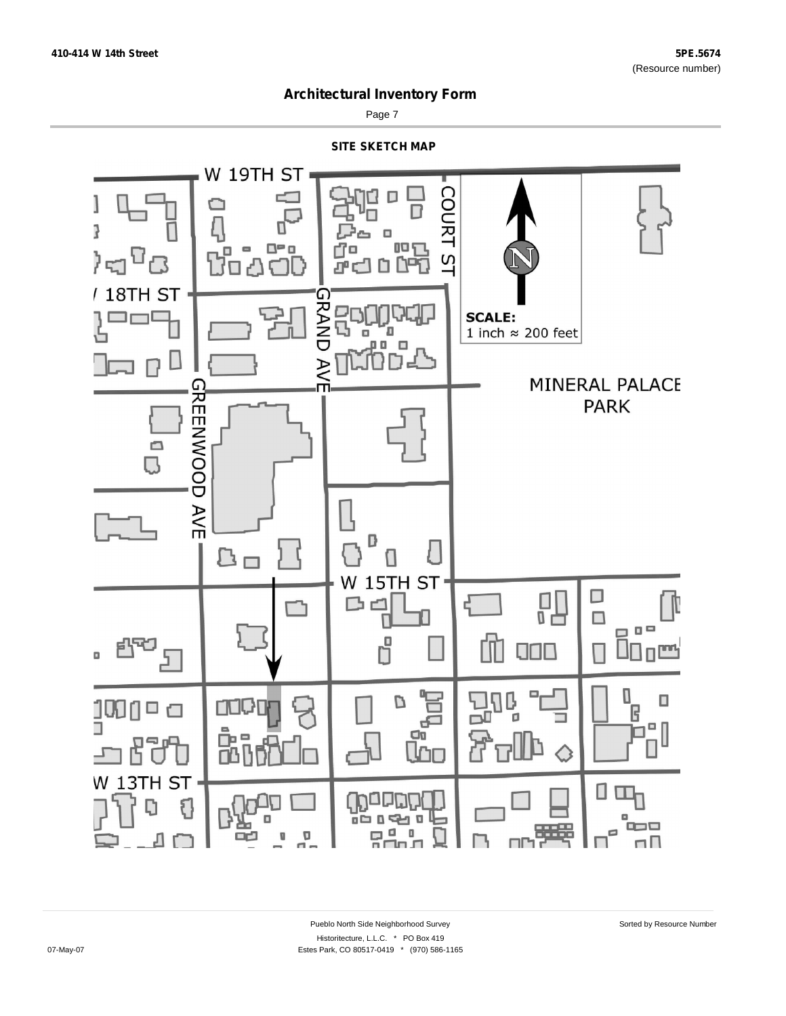

Page 7